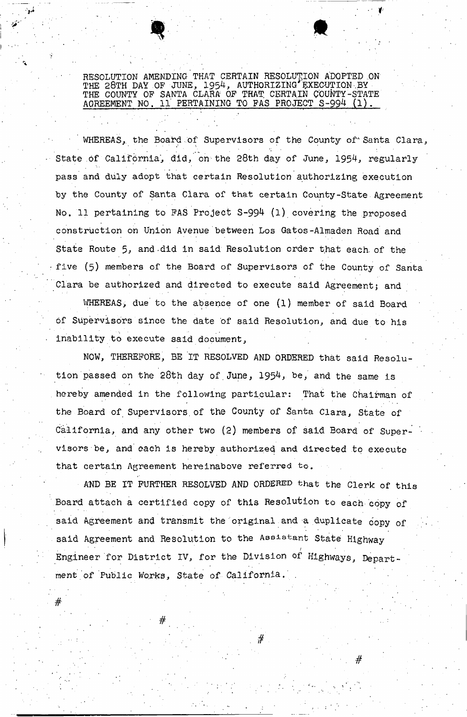RESOLUTION AMENDING THAT CERTAIN RESOLUTION ADOPTED ON THE 28TH DAY OF JUNE, 1954, AUTHORIZING EXECUTION BY THE COUNTY OP SANTA CLARA *OF* THAT CERTAIN COUNTY-STATE AGREEMENT NO. 11 PERTAINING TO FAS PROJECT S-994 (1).

. We also also the contribution of  $\mathcal{P}_\mathcal{A}$  is the contribution of  $\mathcal{P}_\mathcal{A}$ 

**' V - . '.'•" • \* •** 

WHEREAS, the Board of Supervisors of the County of Santa Clara, State of California, did, on the 28th day of June, 1954, regularly pass and duly adopt that certain Resolution authorizing execution by the County of Santa Clara of that certain County-State Agreement No. 11 pertaining to FAS Project  $S-994$  (1) covering the proposed construction on Union Avenue between Los Gatos-Almaden Road and State Route 5, and-did in said Resolution order that each, of the five (5) members of the Board of Supervisors of the County of Santa Clara be authorized and directed to execute said Agreement; and

WHEREAS, due to the absence of one (1) member of said Board of Supervisors since the date of said Resolution, and due to his . Inability to execute said document,

NOW, THEREFORE, BE IT RESOLVED AND ORDERED that said Resolution passed on the 28th day of. June, 1954, be, and the same is . hereby amended in the following particular: That the Chairman of the Board of Supervisors of the County of Santa Clara, State of California, and any other two (2) members of said Board of Supervisors be, and each is hereby authorized and directed to execute that certain Agreement hereinabove referred to. .

AND BE IT FURTHER RESOLVED AND ORDERED that the Clerk of this Board attach a certified copy of this Resolution to each copy of said Agreement and transmit the original and a duplicate copy of said Agreement and Resolution to the Assistant State Highway Engineer for District IV, for the Division of Highways, Depart ment of Public Works, State of California.

" " #

 $\#$   $\#$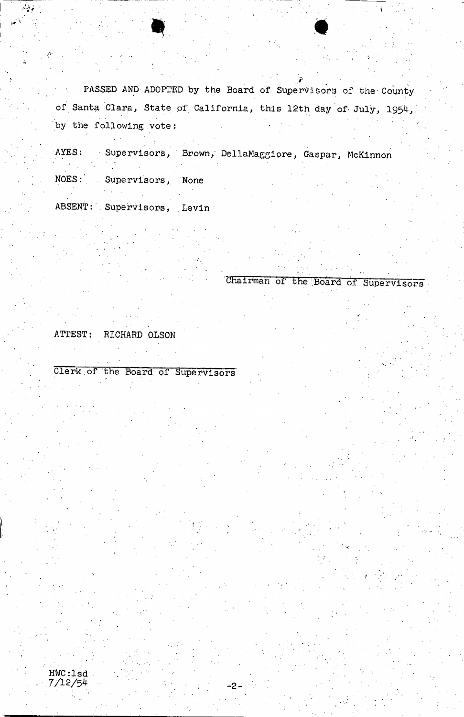PASSED AND ADOPTED by the Board of Supervisors of the County  $\sim 0.1$ of Santa Clara, State of California, this 12th day of July, 1954, by the following vote:

 $\mathcal{L}_1$  , ...  $\mathcal{L}_2$  , ...  $\mathcal{L}_3$  , ...  $\mathcal{L}_4$  , ...  $\mathcal{L}_5$  , ...  $\mathcal{L}_6$  , ...  $\mathcal{L}_7$  , ...  $\mathcal{L}_8$  , ...,  $\mathcal{L}_7$  , ...,  $\mathcal{L}_8$  , ...,  $\mathcal{L}_7$  , ...,  $\mathcal{L}_8$  , ...,  $\mathcal{L}_9$  , ...,  $\mathcal{L}_$ 

AYES: Supervisors, Brown, DellaMaggiore, Gaspar, McKinnon NOES: Supervisors, None

ABSENT: Supervisors, Levin

Chairman of the Board of Supervisors

*jf* 

ATTEST; RICHARD OLSON

Clerk.of the Board of Supervisors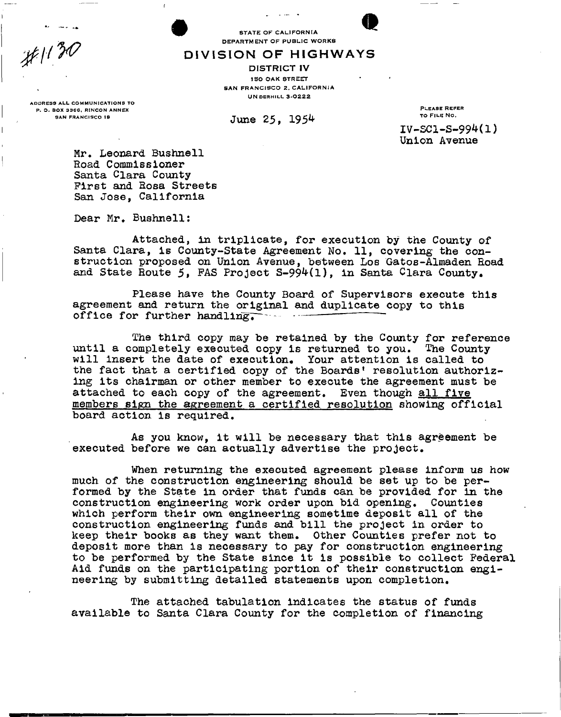STATE OF CALIFORNIA DEPARTMENT OF PUBLIC WORKS

**DIVISIO N O F HIGHWAY S** 

DISTRICT IV **150 OAK STREET** SAN FRANCISCO 2. CALIFORNIA **UN DERHILL 3-0222** 

ADDRESS ALL COMMUNICATIONS TO P. O. BOX 3366, RINCON ANNEX SAN FRANCISCO 10

June 25, 1954

PLEASE REFER TO FILE NO.

 $IV-SC1-S-994(1)$ Union Avenue

Mr. Leonard Bushnell Road Commissioner Santa Clara County First and Eosa Streets San Jose, California

Dear Mr. Bushnell:

Attached, in triplicate, for execution by the County of Santa Clara, is County-State Agreement No. 11, covering the construction proposed on Union Avenue, between Los Gatos-Almaden Eoad and State Route  $5$ , FAS Project S-994(1), in Santa Clara County.

Please have the County Board of Supervisors execute this agreement and return the original and duplicate copy to this<br>office for further handling office for further handling.

The third copy may be retained by the County for reference until a completely executed copy is returned to you. The County will insert the date of execution. Your attention is called to the fact that a certified copy of the Boards' resolution authorizing its chairman or other member to execute the agreement must be attached to each copy of the agreement. Even though all five members sign the agreement a certified resolution showing official board action is required.

As you know, it will be necessary that this agreement be executed before we can actually advertise the project.

When returning the executed agreement please inform us how much of the construction engineering should be set up to be performed by the State in order that funds can be provided for in the construction engineering work order upon bid opening. Counties which perform their own engineering sometime deposit all of the construction engineering funds and bill the project in order to keep their books as they want them. Other Counties prefer not to deposit more than is necessary to pay for construction engineering to be performed by the State since it is possible to collect Federal Aid funds on the participating portion of their construction engineering by submitting detailed statements upon completion.

The attached tabulation indicates the status of funds available to Santa Clara County for the completion of financing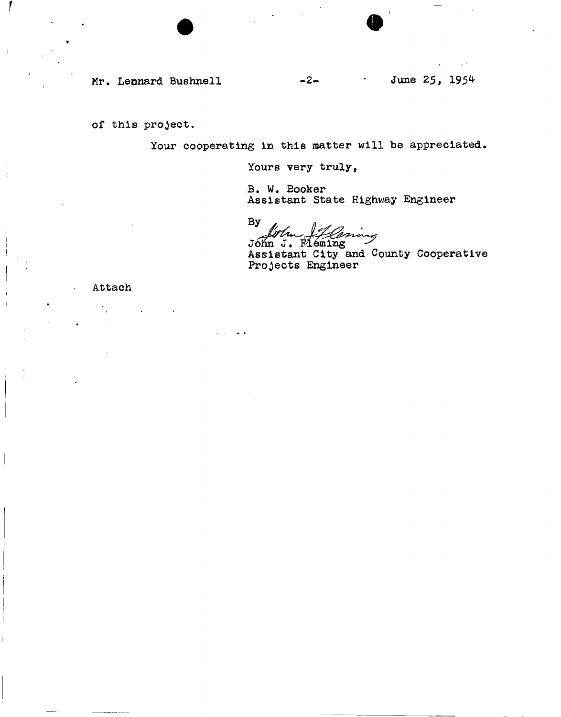Mr. Leonard Bushnell  $-2 -1$  June 25, 1954

of this project.

Your cooperating in this matter will be appreciated.

Yours very truly,

B. W. Booker Assistant State Highway Engineer

 $By$ 

Jóhn J. Fléming Assistant City and County Cooperative Projects Engineer

Attach

 $\mathbf{I}$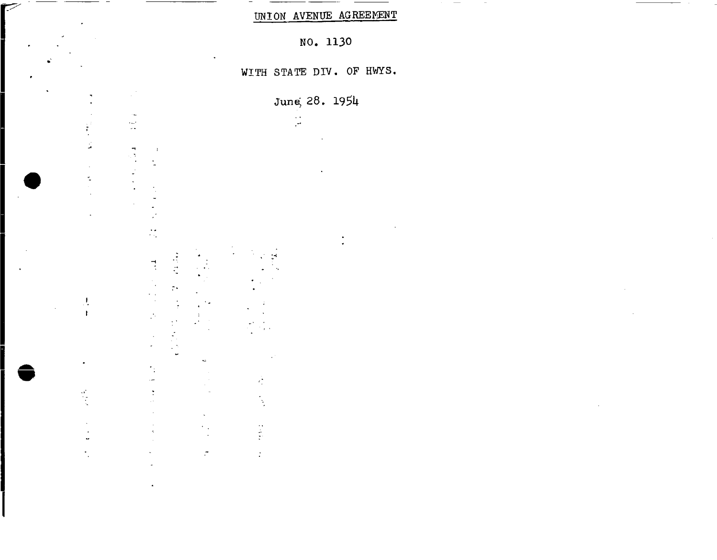UNION AVENUE AGREEMENT

NO. 1130

WITH STATE DIV. OF HWYS.

June; 28. 1951\*

 $\frac{1}{\sqrt{2}}$ 

ě

 $\frac{1}{2}$ 

 $\tau$ 



 $\mathbf{I}$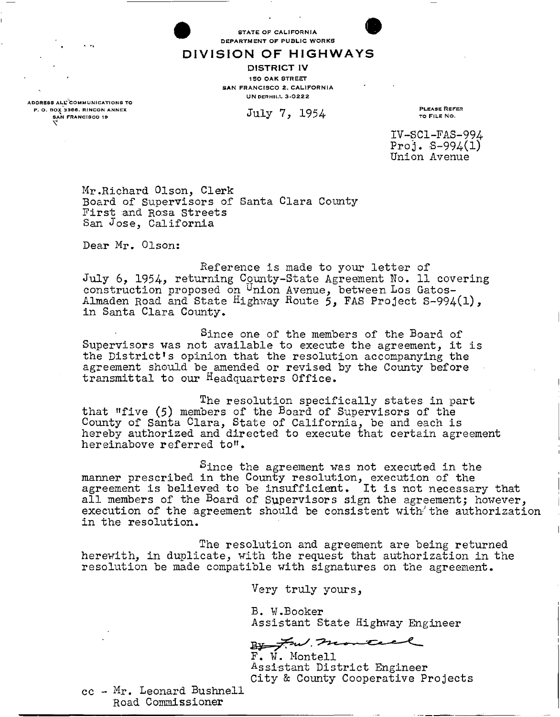STATE OF CALIFORNIA DEPARTMENT OF PUBLIC WORKS

**DIVISIO N O F HIGHWAY S** 

DISTRICT IV 150 OAK STREET SAN FRANCISCO 2, CALIFORNIA UN DERHILL 3-0222

July 7, 1954

PLEASE RBFKR TO FILE NO .

**IV-SC1-FAS-994**  Proj.  $S-994(1)$ **Union Avenue** 

Mr.Richard Olson, Clerk Board of Supervisors of Santa Clara County First and Rosa Streets San Jose, California

Dear Mr. Olson:

Reference is made to your letter of July 6, 1954, returning County-State Agreement No. 11 covering construction proposed on <sup>U</sup>nion Avenue, between Los Gatos-Almaden Road and State Highway Houte 5, FAS Project S-994(l), in Santa Clara County.

Since one of the members of the Board of Supervisors was not available to execute the agreement, it is the District<sup>1</sup>s opinion that the resolution accompanying the agreement should be amended or revised by the County before transmittal to our Headquarters Office.

The resolution specifically states in part that "five (5) members of the Board of Supervisors of the County of Santa Clara, State of California, be and each is hereby authorized and directed to execute that certain agreement hereinabove referred to".

Since the agreement was not executed in the manner prescribed in the County resolution, execution of the agreement is believed to be insufficient. It is not necessary that all members of the Board of Supervisors sign the agreement; however, execution of the agreement should be consistent with the authorization in the resolution.

The resolution and agreement are being returned herewith, in duplicate, with the request that authorization in the resolution be made compatible with signatures on the agreement.

Very truly yours,

B. W.Booker<br>Assistant State Highway Engineer

 $\frac{1}{2}$  and  $\frac{1}{2}$  monte

F. W. Montell Assistant District Engineer<br>City & County Cooperative Projects Assistant District Engineer

 $cc - Mr.$  Leonard Bushnell cc - Mr, Leonard Bushnell Road Commissioner

ADDRESS ALL' COMMUNICATIONS TO P. O. BOX 3366, RINCON ANNEX<br>SAN FRANCISCO 19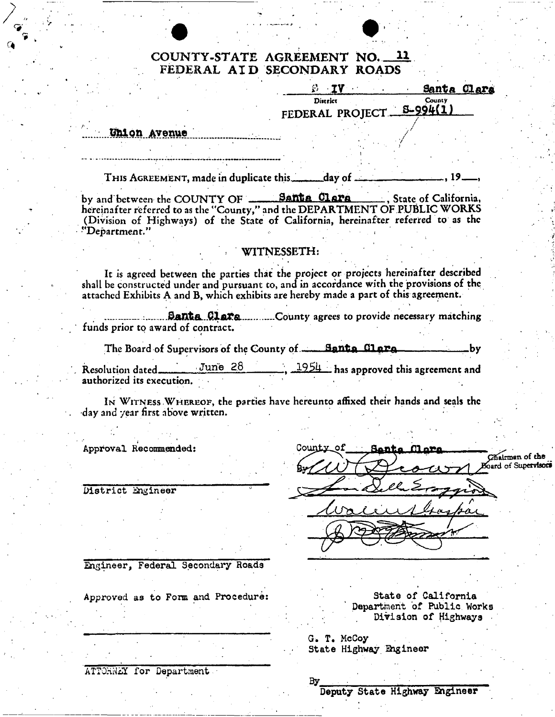# **COUNTY-STATE AGREEMENT NO. 11 FEDERAL AI D SECONDARY ROADS**

|                                                                                                                                                                                                                                                                        | 8 IV I                                                         | Santa Clara             |
|------------------------------------------------------------------------------------------------------------------------------------------------------------------------------------------------------------------------------------------------------------------------|----------------------------------------------------------------|-------------------------|
|                                                                                                                                                                                                                                                                        | District<br>FEDERAL PROJECT-                                   | <b>County</b><br>994(1) |
| Union Avenue                                                                                                                                                                                                                                                           |                                                                |                         |
|                                                                                                                                                                                                                                                                        |                                                                |                         |
| THIS AGREEMENT, made in duplicate this _______day of ______                                                                                                                                                                                                            |                                                                |                         |
| by and between the COUNTY OF _______ Santa Clara ______, State of California,<br>hereinafter referred to as the "County," and the DEPARTMENT OF PUBLIC WORKS<br>(Division of Highways) of the State of California, hereinafter referred to as the<br>"Department."     |                                                                |                         |
|                                                                                                                                                                                                                                                                        | WITNESSETH:                                                    |                         |
| It is agreed between the parties that the project or projects hereinafter described<br>shall be constructed under and pursuant to, and in accordance with the provisions of the<br>attached Exhibits A and B, which exhibits are hereby made a part of this agreement. |                                                                |                         |
| funds prior to award of contract.                                                                                                                                                                                                                                      | <b>Banta Clara</b> County agrees to provide necessary matching |                         |
| The Board of Supervisors of the County of Santa Clare                                                                                                                                                                                                                  |                                                                | by                      |
| $n + 1$ $n + 1$ $Tum = 28$                                                                                                                                                                                                                                             | $\sim$ $\sim$ 1954 is compared the                             |                         |

<u>June 28</u> **Resolution dated** <u>June 20</u> 4924 has approved this agreement and **authorized its execution.** 

IN WITNESS WHEREOF, the parties have hereunto affixed their hands and seals the **day and year first above written.**  $\mathbf{r} = \mathbf{r} \cdot \mathbf{r}$  ,  $\mathbf{r} = \mathbf{r} \cdot \mathbf{r}$  ,  $\mathbf{r} = \mathbf{r} \cdot \mathbf{r}$  ,  $\mathbf{r} = \mathbf{r} \cdot \mathbf{r}$  ,  $\mathbf{r} = \mathbf{r} \cdot \mathbf{r}$  ,  $\mathbf{r} = \mathbf{r} \cdot \mathbf{r}$  ,  $\mathbf{r} = \mathbf{r} \cdot \mathbf{r}$  ,  $\mathbf{r} = \mathbf{r} \cdot \mathbf{r}$  ,  $\mathbf{r} = \mathbf{r$ 

**Approval Recommended:** 

**District Engineer** 

County ٥f Chairman of the oard of Supervisors

**Engineer, Federal Secondary Roads** 

Approved as to Form and Procedure: State of California

**Department of Public Works Division of Highways** 

**G. T. McCoy State Highway Engineer** 

**ATTOKWiX for Department** 

Вy **Deputy State Highway Engineer**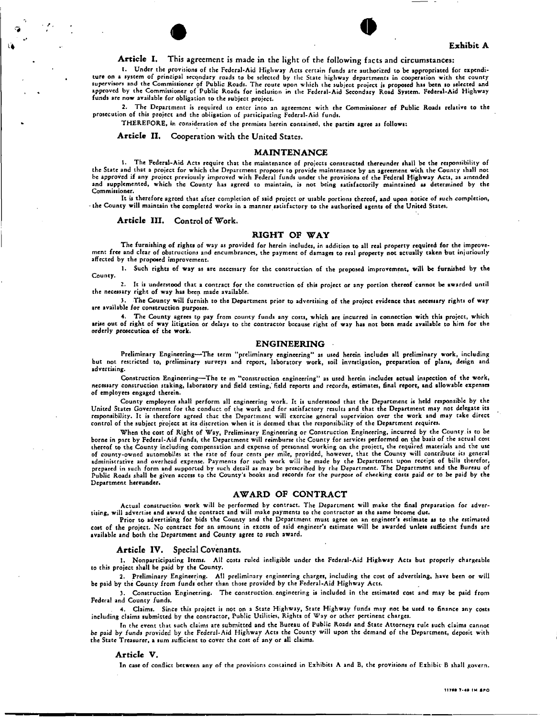



**Article I.** This agreement is made in the light of the following facts and circumstances:

1. Under the provisions of the Federal-Aid Highway Acts ccrtain funds are authorized to be appropriated for expenditure on a system of principal secondary roads to be selected by the State highway departments in cooperation with the county<br>supervisors and the Commissioner of Public Roads. The route upon which the subject project is pro funds arc now available for obligation to the subject project.

2. The Department is required to enter into an agreement with the Commissioner of Public Roadi relative to the prosecution of this project and the obligation of participating Federal-Aid funds.

THEREFORE, in consideration of the premises herein contained, the parties agree as follows:

**Article II.** Cooperation with the United States.

#### **MAINTENANCE**

1. The Federal-Aid Acts require that the maintenance of projects constructed thereunder shall be the responsibility of the State and that a project for which the Department proposes to provide maintenance by an agreement with the County shall not be approved if any project previously improved with Federal funds under the provisions of the Federal Highway Acts, as amended and supplemented, which the County has agreed to maintain, is not being satisfactorily maintained as determined by the Commissioner.

It is therefore agreed that after completion of said projcct or usable portions thereof, and upon notice of such completion, - the County will maintain the complered works in a manner satisfactory to the authorized agents of the United States.

**Article III.** Control of Work.

#### **RIGHT OF WAY**

The furnishing of rights of way as provided for herein includes, in addition to all real property required for the improvement free and clear of obstructions and encumbrances, the payment of damages to real property not actually taken but injuriously affected by the proposed improvement.

1. Such rights of way as are necessary for the construction of the proposed improvement, will be furnished by the County.

2. It is understood that a contract for the construction of this project or any portion thereof cannot be awarded until the necessary right of way has been made available.

3. The County will furnish to the Department prior to advertising of the projcct evidence that necessary rights of way are available for construction purposes.

4. The County agrees to pay from county funds any costs, which are incurred in connection with this project, which arise out of right of way litigation or delays to the contractor because right of way has not been made available to him for the orderly prosecution of the work.

#### **ENGINEERING**

Preliminary Engineering—The term "preliminary engineering" as used herein includes all preliminary work, including but not restricted to, preliminary surveys and report, laboratory work, soil investigation, preparation of plans, design and advertising.

Construction Engineering—The te m "construction engineering" as used herein includes actual inspection of the work, necessary construction staking, laboratory and field testing,' field reports and records, estimates, final report, and allowable expenses of employees engaged therein.

County employees shall perform all engineering work. It is understood that the Department is held responsible by the United States Government for the conduct of the work and for satisfactory results and that the Department may not delegate its responsibility. It is therefore agreed that the Department will exercise general supervision over the work and may take direct control of the subject project at its discretion when it is deemed that the responsibility of the Department requires.

When the cost of Right of Way, Preliminary Engineering or Construction Engineering, incurred by the County, is to be borne in part by Federal-Aid funds, the Department will reimburse the County for services performed on the basis of the actual cost thereof to the County including compensation and expense of personnel working on the project, the required materials and the use<br>of county-owned automobiles at the rate of four cents per mile, provided, however, that the C administrative and overhead expense. Payments for such work will be made by the Department upon receipt of bills therefor, prepared in such form and supported by such detail as may be prescribed by the Department. The Department and the Bureau of Public Roads shall be given access to the County's books and records for the purpose of checking costs paid or to be paid by the Department hereunder.

#### **AWARD OF CONTRACT**

Actual construction work will be performed by contract. The Department will make the final preparation for advertising, will advertise and award the contract and will make payments to the contractor as the same become due,

Prior to advertising for bids the County and the Department must agree on an engineer's estimate as to the estimated cost of the project. No contract for an amount in excess of said engineer's estimate will be awarded unlets sufficient funds are available and both the Department and County *agree* to such award.

#### **Article IV.** Special **Covenants.**

1. Nonparticipating Items. All costs ruled ineligible under the Federal-Aid Highway Acts but properly chargeable to this project shall be paid by the County.

2. Preliminary Engineering. All preliminary engineering charges, including the cost of advertising, have been or will be paid by the County from funds other than those provided by the Federal-Aid Highway Acts.

3. Construction Engineering. The construction, engineering is included in the estimated cost and may be paid from Federal and County funds.

4. Claims. Since this project is not on a State Highway, State Highway funds may not be used to finance any costs including claims submitted by the contractor, Public Utilities, Rights of Way or other pertinent charges.

In the event that such claims are submitted and the Bureau of Public Roads and State Attorneys rule such claims cannot be paid by funds provided by the Federal-Aid Highway Acts the County will upon the demand of the Department, deposit with the State Treasurer, a sum sufficient to cover the cost of any or all claims.

#### **Article V.**

In case of conflict between any of the provisions contained in Exhibits A and B, the provisions of Exhibit B shall govern.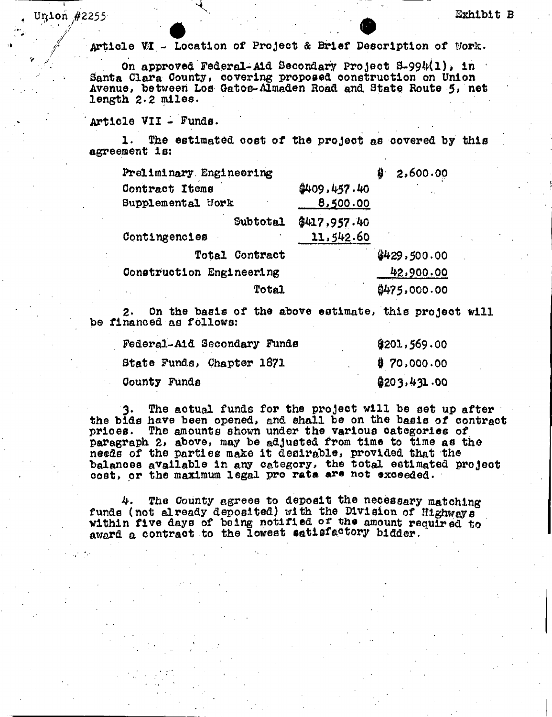Article WI - Location of Project & Brief Description of Work.

 $U_{\mathcal{A}}$  , and the  $U_{\mathcal{A}}$  such that  $U_{\mathcal{A}}$  is a subset of  $U_{\mathcal{A}}$  , and  $U_{\mathcal{A}}$  , and  $U_{\mathcal{A}}$  , and  $U_{\mathcal{A}}$  , and  $U_{\mathcal{A}}$  , and  $U_{\mathcal{A}}$  , and  $U_{\mathcal{A}}$  , and  $U_{\mathcal{A}}$  , and  $U_{\mathcal{A}}$  , and

• • •

Article **V**j**I** - Location of Project & Brief Description of Work. On approved Federal-Aid Secondary Project 3-99^(1)\* in Santa Clara County, covering proposed construction on Union Avenue, between Los Gatos-Almaden Road and, State Route 5, net length  $2 \cdot 2$  miles.

Article VII - Funds.

 $\frac{7}{2}$ 

Union #2255

1. The estimated cost of the project as covered by this agreement is:

| 2,600.00<br>\$ |
|----------------|
| \$409.457.40   |
| 8,500.00       |
| \$417,957.40   |
| 11,542.60      |
| \$429.500.00   |
| 42,900.00      |
| \$475,000.00   |
|                |

2- On the basis of the above estimate, this project will be financed as follows:

| Federal-Aid Secondary Funds | \$201,569.00 |
|-----------------------------|--------------|
| State Funds, Chapter 1871   | \$70,000.00  |
| County Funds                | \$203,431.00 |

The actual funds for the project will be set up after the bids have been opened, and shall be on the basis of contract prices. The amounts shown under the various categories of paragraph 2, above, may be adjusted from time to time as the needs of the parties make it desirable, provided that the balances available in any category, the total estimated project oost, or the maximum legal pro rata are not exceeded.

The County agrees to deposit the necessary matching 4. funds (not already deposited) with the Division of Highways" within five days of being notified ot the amount required to award a contract to the lowest satisfactory bidder.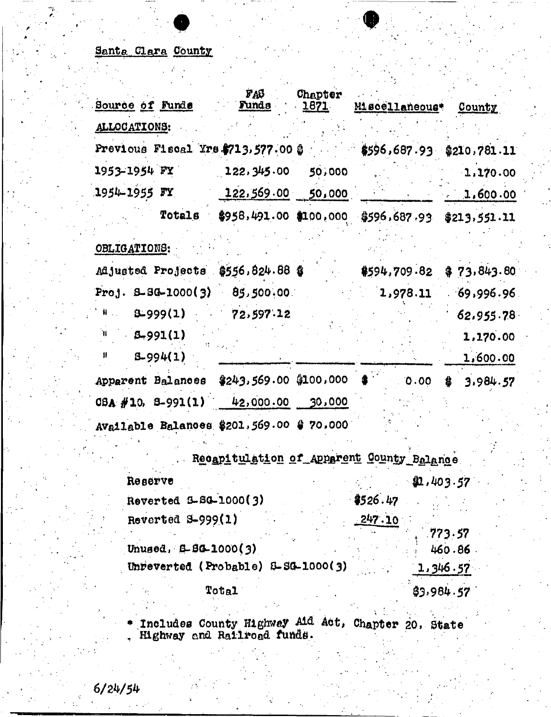# Santa Clara County

| Source of Funds                                                          | PAS<br><b>Funds</b>        | Chapter<br><u> 1871 - </u> | Miscellaneous* County                                   |                      |
|--------------------------------------------------------------------------|----------------------------|----------------------------|---------------------------------------------------------|----------------------|
| ALLOCATIONS:                                                             |                            |                            |                                                         |                      |
| Previous Fiscal Yrs \$713,577.00 \$                                      |                            |                            | $$596.687.93$ $$210.781.11$                             |                      |
| 1953–1954 FY 1                                                           | $122.345.00$ 50,000        |                            |                                                         | 1.170.00             |
| 1954–1955 FY                                                             | $122,569.00$ 50,000        |                            |                                                         | 1,600.00             |
|                                                                          |                            |                            | Totals \$958,491.00 \$100,000 \$596,687.93 \$213,551.11 |                      |
| OBLIGATIONS:                                                             |                            |                            |                                                         |                      |
| Adjusted Projects \$556,824.88 \$                                        |                            |                            | \$594,709.82                                            | \$73.843.80          |
| Proj. $B-3G-1000(3)$ $85,500.00$                                         |                            |                            | 1,978.11                                                | 69,996.96            |
| $W_{\text{max}}$<br>9999(1)                                              | 72,597.12                  |                            |                                                         | 62.955.78            |
| $^{\prime\prime}$ $\beta - 991(1)$<br>$\pmb{\mathfrak{p}}$<br>$8-994(1)$ |                            |                            |                                                         | 1,170.00<br>1,600.00 |
| Apparent Balances                                                        | $$243,569.00$ \$100,000 \$ |                            | 0.00                                                    | 3.984.57<br>魯.       |
| $0.94 \# 10$ , $0.991(1)$ $42,000.00$ $30,000$                           |                            |                            |                                                         |                      |
| Available Balances \$201,569.00 \$70,000                                 |                            |                            |                                                         |                      |

| Recapitulation of Apparent County Balance |                   |  |  |  |
|-------------------------------------------|-------------------|--|--|--|
| Reserve                                   | 40.403.57         |  |  |  |
| Reverted S-SG-1000(3)                     | \$526.47          |  |  |  |
| Reverted S-999(1)                         | 247.10            |  |  |  |
| Unused, 6-86-1000(3)                      | .773.57<br>460.86 |  |  |  |
| Unveverted (Probable) 8-SG-1000(3)        | 1.346.57          |  |  |  |
| Total                                     | \$3,984.57        |  |  |  |

\* Includes County Highway Aid Act, Chapter 20, State , Highway and Railroad funds.

 $6/24/54$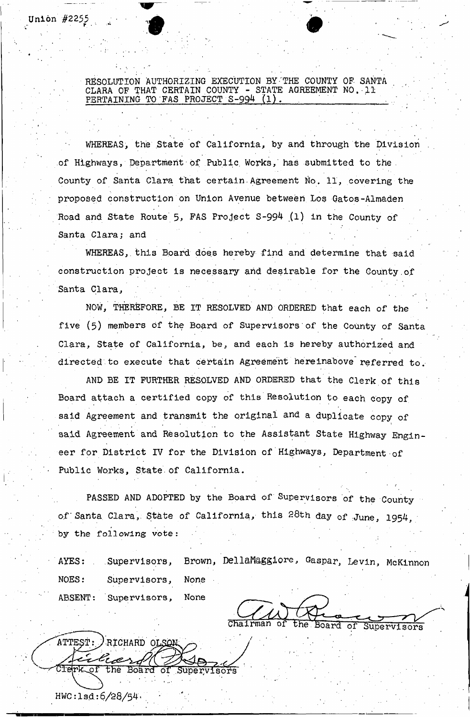RESOLUTION AUTHORIZING EXECUTION BY THE COUNTY OF SANTA CLARA OF THAT CERTAIN COUNTY - STATE AGREEMENT NO. 11 PERTAINING TO FAS PROJECT S-994 (1)

*\** ' , ' ' ' ' '

WHEREAS, the State of California, by and through the Division of Highways, Department of Public Works, has submitted to the County of Santa Clara that certain Agreement No. 11, covering the proposed construction on Union Avenue between Los Gatos-Almaden Road and State Route 5, FAS Project S-994 (1) in the County of Santa Clara; and

WHEREAS, this Board does hereby find and determine that said construction project is necessary arid desirable for the County.of Santa Clara,

NOW, THEREFORE, BE IT RESOLVED AND ORDERED that each of the five (5) members of the Board of Supervisors of the County of Santa Clara, State of California, be, and each is hereby authorized and directed to execute that certain Agreement hereinabove referred to.

AND BE IT FURTHER RESOLVED AND ORDERED that the Clerk of this Board attach a certified copy of this Resolution to each copy of said Agreement and transmit the original and a duplicate copy of said Agreement and Resolution to the Assistant State Highway Engineer for District IV for the Division of Highways, Department of Public Works, State of California.

PASSED AND ADOPTED by the Board of Supervisors of the County of Santa Clara, State of California, this 28th day of June, 1954, by the following vote:

AYES: Supervisors, Brown, DellaMaggiore, Gaspar, Levin, McKinnon NOES: Supervisors, None **ABSENT:** None Supervisors,

Board Supervisors

ATTEST: RICHARD OLSON بعرجهه Cierk of the Board of Supervisors

Union  $#2255$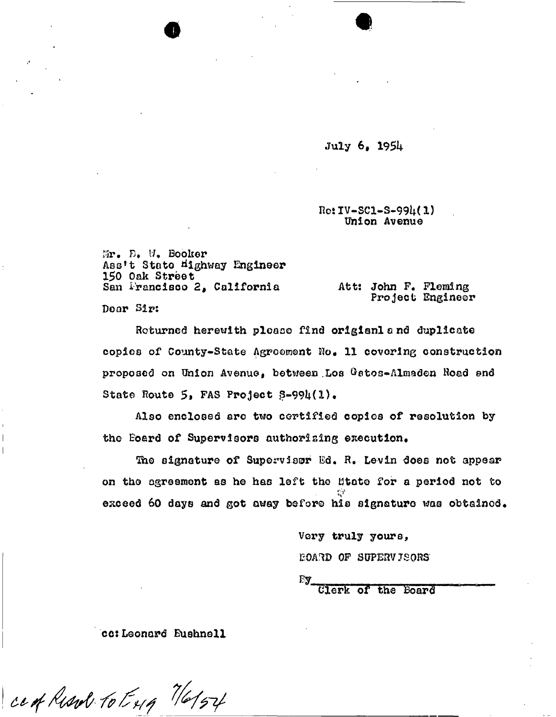July 6, 19SU

 $Ro:IV-SCL-S-994(1)$ Union Avenue

 $M_r$  D. W. Booker Ass't State Highway Engineer 150 Oak Street San Irancisco 2, California att: John F. Fleming Door Sir:

«

Project Engineer

Returned herewith please find origianland duplicate copies of County-State Agreement No» 11 covering construction proposed on Union Avenue, between Los Gatos-Almaden Road end State Route  $5$ , FAS Project  $S=994(1)$ .

Also enclosed arc two certified copies of resolution by the Board of Supervisors authorising execution.

The signature of Supervisor Ed. R. Levin does not appear on the agreement as he has left the State for a period not to  $\mathbf{v}_k^{\text{L}}$ exceed 60 days and got away before his signature was obtained.

> Very truly yours, E0A3D OF SUPERVISORS

 $E_{\mathbf{y}_{\perp}}$ 

Clerk of the Board

cc:Leonard Buahnoll

cent Resul to Eng 7/6/54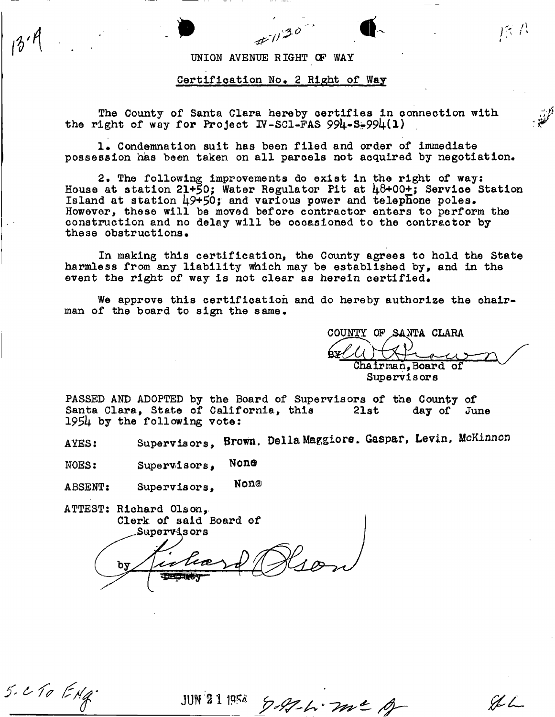### UNION AVENUE RIGHT OF WAY

## Certification No. 2 Right of Way

The County of Santa Clara hereby certifies in connection with the right of way for Project IV-SC1-FAS  $994-5-994(1)$ 

1. Condemnation suit has been filed and order of immediate possession has been taken on all parcels not acquired by negotiation.

2. The following improvements do exist in the right of way: House at station 21+50; Water Regulator Pit at  $\mu$ 8+00+; Service Station Island at station  $\overline{49+50}$ ; and various power and telephone poles. However, these will be moved before contractor enters to perform the construction and no delay will be occasioned to the contractor by these obstructions.

In making this certification, the County agrees to hold the State harmless from any liability which may be established by, and in the event the right of way is not clear as herein certified.

We approve this certification and do hereby authorize the chairman of the board to sign the same.

COUNTY OF SANTA CLARA  $U \cup \longrightarrow \longrightarrow$ Chairman, Board of Supervisors

PASSED AND ADOPTED by the Board of Supervisors of the County of<br>Santa Clara, State of California, this 21st day of June Santa Clara, State of California, this *195b* by the following vote:

AYES: Supervisors, Brown. Della Maggiore. Gaspar, Levin, McKinnon

 $NOES:$  Supervisors,  $NOR@$ 

ABSENT: Supervis ors, Non ®

ATTEST: Richard Olson,, Clerk of said Board of Supervis ors

 $5.2$  To  $ENq$ 

**JUN** 21 1958 9-97-6-700 = A

 $966$ 

序書